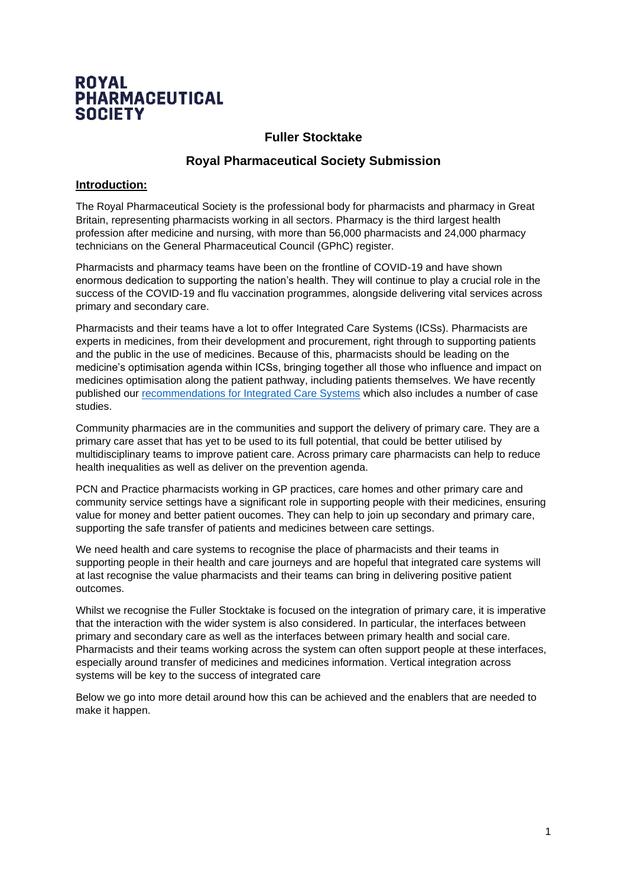# **ROYAL PHARMACEUTICAL SOCIETY**

## **Fuller Stocktake**

## **Royal Pharmaceutical Society Submission**

#### **Introduction:**

The Royal Pharmaceutical Society is the professional body for pharmacists and pharmacy in Great Britain, representing pharmacists working in all sectors. Pharmacy is the third largest health profession after medicine and nursing, with more than 56,000 pharmacists and 24,000 pharmacy technicians on the General Pharmaceutical Council (GPhC) register.

Pharmacists and pharmacy teams have been on the frontline of COVID-19 and have shown enormous dedication to supporting the nation's health. They will continue to play a crucial role in the success of the COVID-19 and flu vaccination programmes, alongside delivering vital services across primary and secondary care.

Pharmacists and their teams have a lot to offer Integrated Care Systems (ICSs). Pharmacists are experts in medicines, from their development and procurement, right through to supporting patients and the public in the use of medicines. Because of this, pharmacists should be leading on the medicine's optimisation agenda within ICSs, bringing together all those who influence and impact on medicines optimisation along the patient pathway, including patients themselves. We have recently published our [recommendations for Integrated Care Systems](https://www.rpharms.com/england/nhs-transformation/ics-recommendations) which also includes a number of case studies.

Community pharmacies are in the communities and support the delivery of primary care. They are a primary care asset that has yet to be used to its full potential, that could be better utilised by multidisciplinary teams to improve patient care. Across primary care pharmacists can help to reduce health inequalities as well as deliver on the prevention agenda.

PCN and Practice pharmacists working in GP practices, care homes and other primary care and community service settings have a significant role in supporting people with their medicines, ensuring value for money and better patient oucomes. They can help to join up secondary and primary care, supporting the safe transfer of patients and medicines between care settings.

We need health and care systems to recognise the place of pharmacists and their teams in supporting people in their health and care journeys and are hopeful that integrated care systems will at last recognise the value pharmacists and their teams can bring in delivering positive patient outcomes.

Whilst we recognise the Fuller Stocktake is focused on the integration of primary care, it is imperative that the interaction with the wider system is also considered. In particular, the interfaces between primary and secondary care as well as the interfaces between primary health and social care. Pharmacists and their teams working across the system can often support people at these interfaces, especially around transfer of medicines and medicines information. Vertical integration across systems will be key to the success of integrated care

Below we go into more detail around how this can be achieved and the enablers that are needed to make it happen.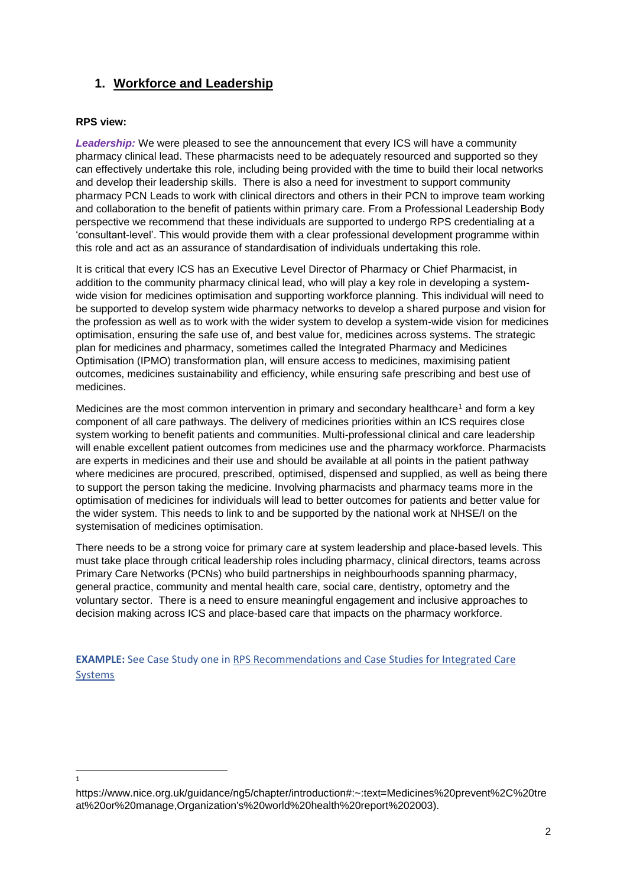## **1. Workforce and Leadership**

#### **RPS view:**

1

*Leadership:* We were pleased to see the announcement that every ICS will have a community pharmacy clinical lead. These pharmacists need to be adequately resourced and supported so they can effectively undertake this role, including being provided with the time to build their local networks and develop their leadership skills. There is also a need for investment to support community pharmacy PCN Leads to work with clinical directors and others in their PCN to improve team working and collaboration to the benefit of patients within primary care. From a Professional Leadership Body perspective we recommend that these individuals are supported to undergo RPS credentialing at a 'consultant-level'. This would provide them with a clear professional development programme within this role and act as an assurance of standardisation of individuals undertaking this role.

It is critical that every ICS has an Executive Level Director of Pharmacy or Chief Pharmacist, in addition to the community pharmacy clinical lead, who will play a key role in developing a systemwide vision for medicines optimisation and supporting workforce planning. This individual will need to be supported to develop system wide pharmacy networks to develop a shared purpose and vision for the profession as well as to work with the wider system to develop a system-wide vision for medicines optimisation, ensuring the safe use of, and best value for, medicines across systems. The strategic plan for medicines and pharmacy, sometimes called the Integrated Pharmacy and Medicines Optimisation (IPMO) transformation plan, will ensure access to medicines, maximising patient outcomes, medicines sustainability and efficiency, while ensuring safe prescribing and best use of medicines.

Medicines are the most common intervention in primary and secondary healthcare<sup>1</sup> and form a key component of all care pathways. The delivery of medicines priorities within an ICS requires close system working to benefit patients and communities. Multi-professional clinical and care leadership will enable excellent patient outcomes from medicines use and the pharmacy workforce. Pharmacists are experts in medicines and their use and should be available at all points in the patient pathway where medicines are procured, prescribed, optimised, dispensed and supplied, as well as being there to support the person taking the medicine. Involving pharmacists and pharmacy teams more in the optimisation of medicines for individuals will lead to better outcomes for patients and better value for the wider system. This needs to link to and be supported by the national work at NHSE/I on the systemisation of medicines optimisation.

There needs to be a strong voice for primary care at system leadership and place-based levels. This must take place through critical leadership roles including pharmacy, clinical directors, teams across Primary Care Networks (PCNs) who build partnerships in neighbourhoods spanning pharmacy, general practice, community and mental health care, social care, dentistry, optometry and the voluntary sector. There is a need to ensure meaningful engagement and inclusive approaches to decision making across ICS and place-based care that impacts on the pharmacy workforce.

**EXAMPLE:** See Case Study one in RPS Recommendations and Case Studies for Integrated Care [Systems](https://www.rpharms.com/england/nhs-transformation/ics-recommendations)

https://www.nice.org.uk/guidance/ng5/chapter/introduction#:~:text=Medicines%20prevent%2C%20tre at%20or%20manage,Organization's%20world%20health%20report%202003).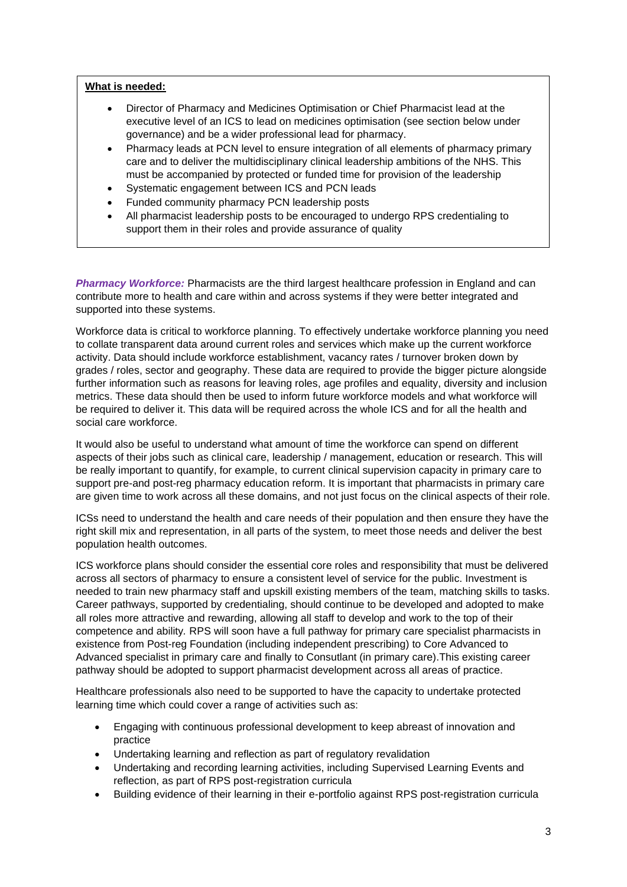#### **What is needed:**

- Director of Pharmacy and Medicines Optimisation or Chief Pharmacist lead at the executive level of an ICS to lead on medicines optimisation (see section below under governance) and be a wider professional lead for pharmacy.
- Pharmacy leads at PCN level to ensure integration of all elements of pharmacy primary care and to deliver the multidisciplinary clinical leadership ambitions of the NHS. This must be accompanied by protected or funded time for provision of the leadership
- Systematic engagement between ICS and PCN leads
- Funded community pharmacy PCN leadership posts
- All pharmacist leadership posts to be encouraged to undergo RPS credentialing to support them in their roles and provide assurance of quality

*Pharmacy Workforce:* Pharmacists are the third largest healthcare profession in England and can contribute more to health and care within and across systems if they were better integrated and supported into these systems.

Workforce data is critical to workforce planning. To effectively undertake workforce planning you need to collate transparent data around current roles and services which make up the current workforce activity. Data should include workforce establishment, vacancy rates / turnover broken down by grades / roles, sector and geography. These data are required to provide the bigger picture alongside further information such as reasons for leaving roles, age profiles and equality, diversity and inclusion metrics. These data should then be used to inform future workforce models and what workforce will be required to deliver it. This data will be required across the whole ICS and for all the health and social care workforce.

It would also be useful to understand what amount of time the workforce can spend on different aspects of their jobs such as clinical care, leadership / management, education or research. This will be really important to quantify, for example, to current clinical supervision capacity in primary care to support pre-and post-reg pharmacy education reform. It is important that pharmacists in primary care are given time to work across all these domains, and not just focus on the clinical aspects of their role.

ICSs need to understand the health and care needs of their population and then ensure they have the right skill mix and representation, in all parts of the system, to meet those needs and deliver the best population health outcomes.

ICS workforce plans should consider the essential core roles and responsibility that must be delivered across all sectors of pharmacy to ensure a consistent level of service for the public. Investment is needed to train new pharmacy staff and upskill existing members of the team, matching skills to tasks. Career pathways, supported by credentialing, should continue to be developed and adopted to make all roles more attractive and rewarding, allowing all staff to develop and work to the top of their competence and ability*.* RPS will soon have a full pathway for primary care specialist pharmacists in existence from Post-reg Foundation (including independent prescribing) to Core Advanced to Advanced specialist in primary care and finally to Consutlant (in primary care).This existing career pathway should be adopted to support pharmacist development across all areas of practice.

Healthcare professionals also need to be supported to have the capacity to undertake protected learning time which could cover a range of activities such as:

- Engaging with continuous professional development to keep abreast of innovation and practice
- Undertaking learning and reflection as part of regulatory revalidation
- Undertaking and recording learning activities, including Supervised Learning Events and reflection, as part of RPS post-registration curricula
- Building evidence of their learning in their e-portfolio against RPS post-registration curricula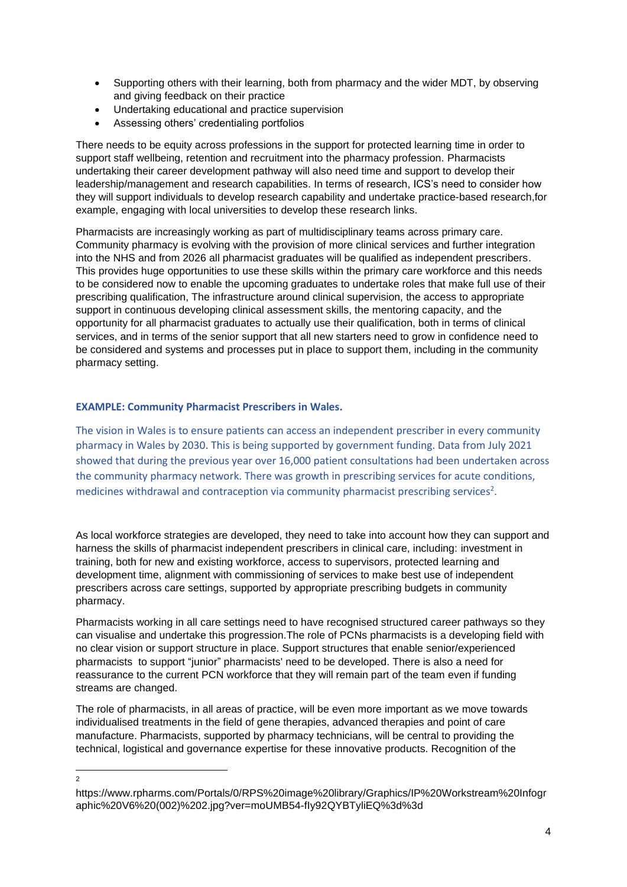- Supporting others with their learning, both from pharmacy and the wider MDT, by observing and giving feedback on their practice
- Undertaking educational and practice supervision
- Assessing others' credentialing portfolios

There needs to be equity across professions in the support for protected learning time in order to support staff wellbeing, retention and recruitment into the pharmacy profession. Pharmacists undertaking their career development pathway will also need time and support to develop their leadership/management and research capabilities. In terms of research, ICS's need to consider how they will support individuals to develop research capability and undertake practice-based research,for example, engaging with local universities to develop these research links.

Pharmacists are increasingly working as part of multidisciplinary teams across primary care. Community pharmacy is evolving with the provision of more clinical services and further integration into the NHS and from 2026 all pharmacist graduates will be qualified as independent prescribers. This provides huge opportunities to use these skills within the primary care workforce and this needs to be considered now to enable the upcoming graduates to undertake roles that make full use of their prescribing qualification, The infrastructure around clinical supervision, the access to appropriate support in continuous developing clinical assessment skills, the mentoring capacity, and the opportunity for all pharmacist graduates to actually use their qualification, both in terms of clinical services, and in terms of the senior support that all new starters need to grow in confidence need to be considered and systems and processes put in place to support them, including in the community pharmacy setting.

#### **EXAMPLE: Community Pharmacist Prescribers in Wales.**

The vision in Wales is to ensure patients can access an independent prescriber in every community pharmacy in Wales by 2030. This is being supported by government funding. Data from July 2021 showed that during the previous year over 16,000 patient consultations had been undertaken across the community pharmacy network. There was growth in prescribing services for acute conditions, medicines withdrawal and contraception via community pharmacist prescribing services<sup>2</sup>.

As local workforce strategies are developed, they need to take into account how they can support and harness the skills of pharmacist independent prescribers in clinical care, including: investment in training, both for new and existing workforce, access to supervisors, protected learning and development time, alignment with commissioning of services to make best use of independent prescribers across care settings, supported by appropriate prescribing budgets in community pharmacy.

Pharmacists working in all care settings need to have recognised structured career pathways so they can visualise and undertake this progression.The role of PCNs pharmacists is a developing field with no clear vision or support structure in place. Support structures that enable senior/experienced pharmacists to support "junior" pharmacists' need to be developed. There is also a need for reassurance to the current PCN workforce that they will remain part of the team even if funding streams are changed.

The role of pharmacists, in all areas of practice, will be even more important as we move towards individualised treatments in the field of gene therapies, advanced therapies and point of care manufacture. Pharmacists, supported by pharmacy technicians, will be central to providing the technical, logistical and governance expertise for these innovative products. Recognition of the

 $\overline{2}$ 

https://www.rpharms.com/Portals/0/RPS%20image%20library/Graphics/IP%20Workstream%20Infogr aphic%20V6%20(002)%202.jpg?ver=moUMB54-fIy92QYBTyliEQ%3d%3d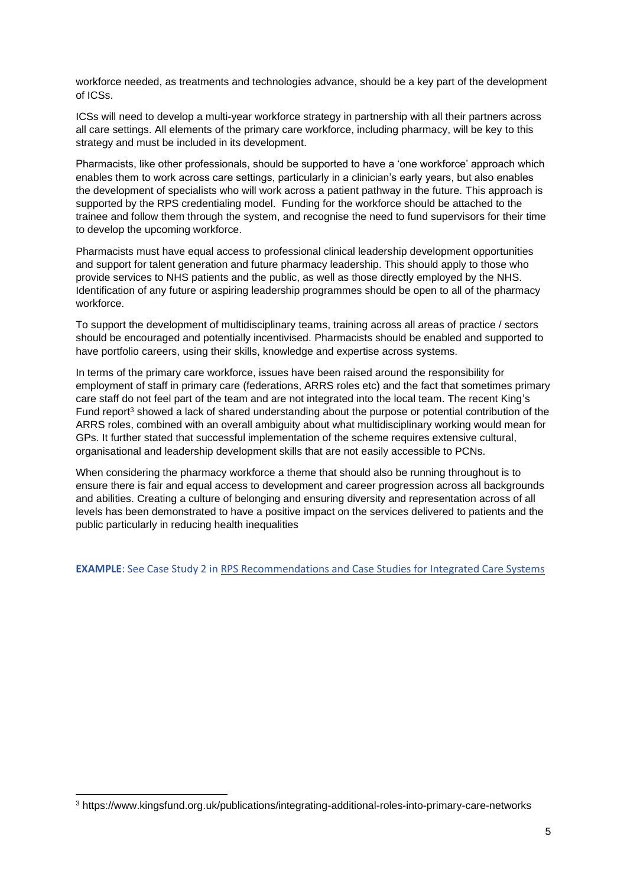workforce needed, as treatments and technologies advance, should be a key part of the development of ICSs.

ICSs will need to develop a multi-year workforce strategy in partnership with all their partners across all care settings. All elements of the primary care workforce, including pharmacy, will be key to this strategy and must be included in its development.

Pharmacists, like other professionals, should be supported to have a 'one workforce' approach which enables them to work across care settings, particularly in a clinician's early years, but also enables the development of specialists who will work across a patient pathway in the future. This approach is supported by the RPS credentialing model. Funding for the workforce should be attached to the trainee and follow them through the system, and recognise the need to fund supervisors for their time to develop the upcoming workforce.

Pharmacists must have equal access to professional clinical leadership development opportunities and support for talent generation and future pharmacy leadership. This should apply to those who provide services to NHS patients and the public, as well as those directly employed by the NHS. Identification of any future or aspiring leadership programmes should be open to all of the pharmacy workforce.

To support the development of multidisciplinary teams, training across all areas of practice / sectors should be encouraged and potentially incentivised. Pharmacists should be enabled and supported to have portfolio careers, using their skills, knowledge and expertise across systems.

In terms of the primary care workforce, issues have been raised around the responsibility for employment of staff in primary care (federations, ARRS roles etc) and the fact that sometimes primary care staff do not feel part of the team and are not integrated into the local team. The recent King's Fund report<sup>3</sup> showed a lack of shared understanding about the purpose or potential contribution of the ARRS roles, combined with an overall ambiguity about what multidisciplinary working would mean for GPs. It further stated that successful implementation of the scheme requires extensive cultural, organisational and leadership development skills that are not easily accessible to PCNs.

When considering the pharmacy workforce a theme that should also be running throughout is to ensure there is fair and equal access to development and career progression across all backgrounds and abilities. Creating a culture of belonging and ensuring diversity and representation across of all levels has been demonstrated to have a positive impact on the services delivered to patients and the public particularly in reducing health inequalities

**EXAMPLE**: See Case Study 2 i[n RPS Recommendations and Case Studies for Integrated Care Systems](https://www.rpharms.com/england/nhs-transformation/ics-recommendations)

<sup>3</sup> https://www.kingsfund.org.uk/publications/integrating-additional-roles-into-primary-care-networks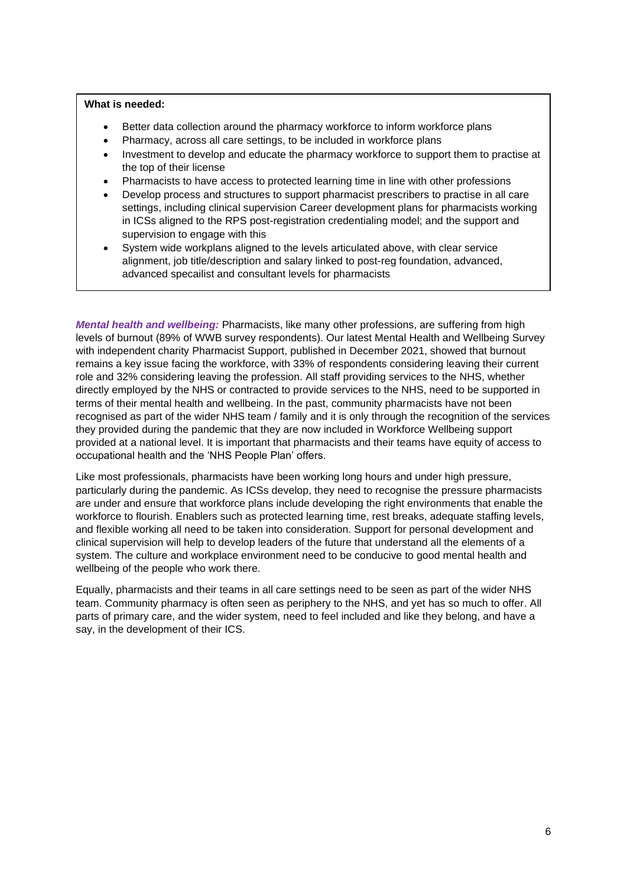#### **What is needed:**

- Better data collection around the pharmacy workforce to inform workforce plans
- Pharmacy, across all care settings, to be included in workforce plans
- Investment to develop and educate the pharmacy workforce to support them to practise at the top of their license
- Pharmacists to have access to protected learning time in line with other professions
- Develop process and structures to support pharmacist prescribers to practise in all care settings, including clinical supervision Career development plans for pharmacists working in ICSs aligned to the RPS post-registration credentialing model; and the support and supervision to engage with this
- System wide workplans aligned to the levels articulated above, with clear service alignment, job title/description and salary linked to post-reg foundation, advanced, advanced specailist and consultant levels for pharmacists

*Mental health and wellbeing:* Pharmacists, like many other professions, are suffering from high levels of burnout (89% of WWB survey respondents). Our latest Mental Health and Wellbeing Survey with independent charity Pharmacist Support, published in December 2021, showed that burnout remains a key issue facing the workforce, with 33% of respondents considering leaving their current role and 32% considering leaving the profession. All staff providing services to the NHS, whether directly employed by the NHS or contracted to provide services to the NHS, need to be supported in terms of their mental health and wellbeing. In the past, community pharmacists have not been recognised as part of the wider NHS team / family and it is only through the recognition of the services they provided during the pandemic that they are now included in Workforce Wellbeing support provided at a national level. It is important that pharmacists and their teams have equity of access to occupational health and the 'NHS People Plan' offers.

Like most professionals, pharmacists have been working long hours and under high pressure, particularly during the pandemic. As ICSs develop, they need to recognise the pressure pharmacists are under and ensure that workforce plans include developing the right environments that enable the workforce to flourish. Enablers such as protected learning time, rest breaks, adequate staffing levels, and flexible working all need to be taken into consideration. Support for personal development and clinical supervision will help to develop leaders of the future that understand all the elements of a system. The culture and workplace environment need to be conducive to good mental health and wellbeing of the people who work there.

Equally, pharmacists and their teams in all care settings need to be seen as part of the wider NHS team. Community pharmacy is often seen as periphery to the NHS, and yet has so much to offer. All parts of primary care, and the wider system, need to feel included and like they belong, and have a say, in the development of their ICS.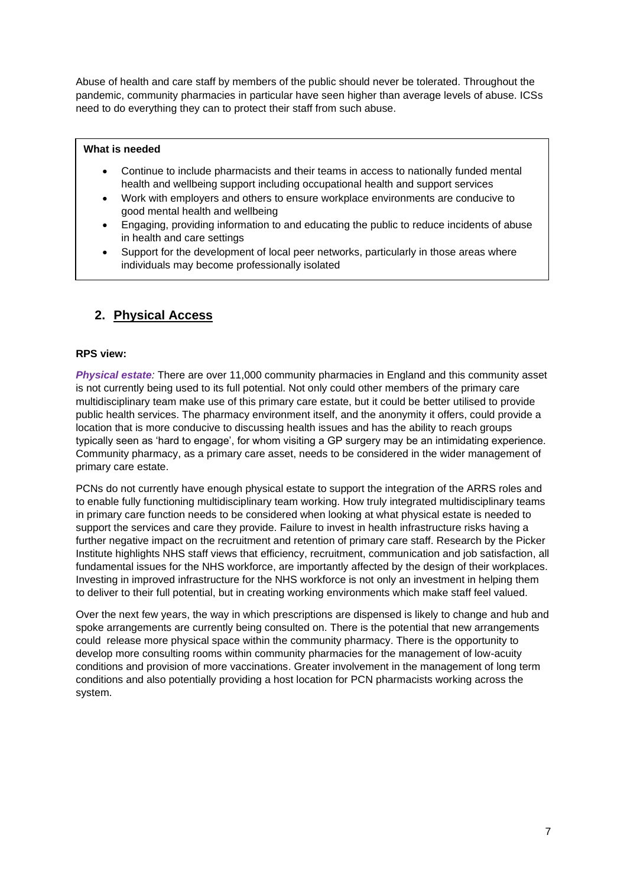Abuse of health and care staff by members of the public should never be tolerated. Throughout the pandemic, community pharmacies in particular have seen higher than average levels of abuse. ICSs need to do everything they can to protect their staff from such abuse.

#### **What is needed**

- Continue to include pharmacists and their teams in access to nationally funded mental health and wellbeing support including occupational health and support services
- Work with employers and others to ensure workplace environments are conducive to good mental health and wellbeing
- Engaging, providing information to and educating the public to reduce incidents of abuse in health and care settings
- Support for the development of local peer networks, particularly in those areas where individuals may become professionally isolated

### **2. Physical Access**

#### **RPS view:**

•

*Physical estate:* There are over 11,000 community pharmacies in England and this community asset is not currently being used to its full potential. Not only could other members of the primary care multidisciplinary team make use of this primary care estate, but it could be better utilised to provide public health services. The pharmacy environment itself, and the anonymity it offers, could provide a location that is more conducive to discussing health issues and has the ability to reach groups typically seen as 'hard to engage', for whom visiting a GP surgery may be an intimidating experience. Community pharmacy, as a primary care asset, needs to be considered in the wider management of primary care estate.

PCNs do not currently have enough physical estate to support the integration of the ARRS roles and to enable fully functioning multidisciplinary team working. How truly integrated multidisciplinary teams in primary care function needs to be considered when looking at what physical estate is needed to support the services and care they provide. Failure to invest in health infrastructure risks having a further negative impact on the recruitment and retention of primary care staff. Research by the Picker Institute highlights NHS staff views that efficiency, recruitment, communication and job satisfaction, all fundamental issues for the NHS workforce, are importantly affected by the design of their workplaces. Investing in improved infrastructure for the NHS workforce is not only an investment in helping them to deliver to their full potential, but in creating working environments which make staff feel valued.

Over the next few years, the way in which prescriptions are dispensed is likely to change and hub and spoke arrangements are currently being consulted on. There is the potential that new arrangements could release more physical space within the community pharmacy. There is the opportunity to develop more consulting rooms within community pharmacies for the management of low-acuity conditions and provision of more vaccinations. Greater involvement in the management of long term conditions and also potentially providing a host location for PCN pharmacists working across the system.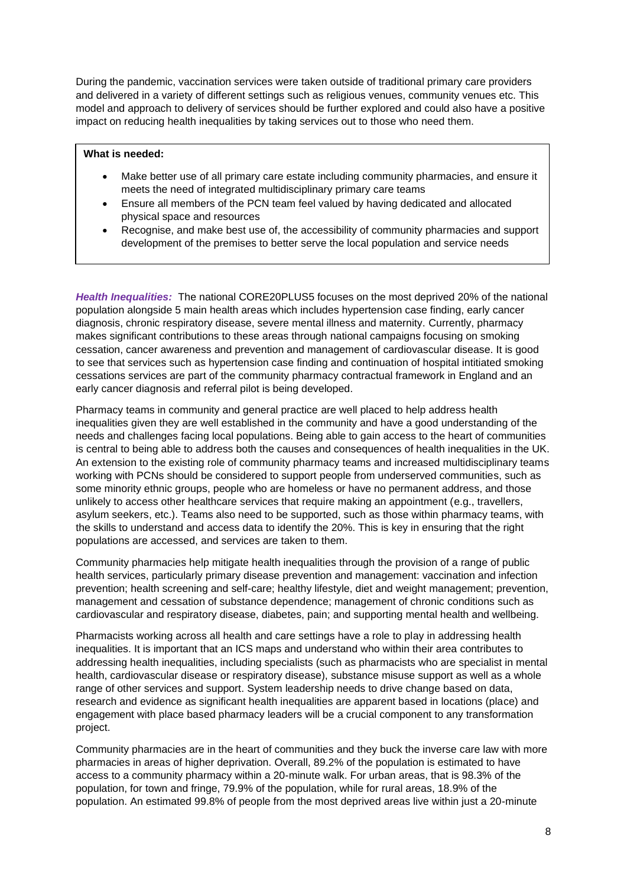During the pandemic, vaccination services were taken outside of traditional primary care providers and delivered in a variety of different settings such as religious venues, community venues etc. This model and approach to delivery of services should be further explored and could also have a positive impact on reducing health inequalities by taking services out to those who need them.

#### **What is needed:**

- Make better use of all primary care estate including community pharmacies, and ensure it meets the need of integrated multidisciplinary primary care teams
- Ensure all members of the PCN team feel valued by having dedicated and allocated physical space and resources
- Recognise, and make best use of, the accessibility of community pharmacies and support development of the premises to better serve the local population and service needs

*Health Inequalities:* The national CORE20PLUS5 focuses on the most deprived 20% of the national population alongside 5 main health areas which includes hypertension case finding, early cancer diagnosis, chronic respiratory disease, severe mental illness and maternity. Currently, pharmacy makes significant contributions to these areas through national campaigns focusing on smoking cessation, cancer awareness and prevention and management of cardiovascular disease. It is good to see that services such as hypertension case finding and continuation of hospital intitiated smoking cessations services are part of the community pharmacy contractual framework in England and an early cancer diagnosis and referral pilot is being developed.

Pharmacy teams in community and general practice are well placed to help address health inequalities given they are well established in the community and have a good understanding of the needs and challenges facing local populations. Being able to gain access to the heart of communities is central to being able to address both the causes and consequences of health inequalities in the UK. An extension to the existing role of community pharmacy teams and increased multidisciplinary teams working with PCNs should be considered to support people from underserved communities, such as some minority ethnic groups, people who are homeless or have no permanent address, and those unlikely to access other healthcare services that require making an appointment (e.g., travellers, asylum seekers, etc.). Teams also need to be supported, such as those within pharmacy teams, with the skills to understand and access data to identify the 20%. This is key in ensuring that the right populations are accessed, and services are taken to them.

Community pharmacies help mitigate health inequalities through the provision of a range of public health services, particularly primary disease prevention and management: vaccination and infection prevention; health screening and self-care; healthy lifestyle, diet and weight management; prevention, management and cessation of substance dependence; management of chronic conditions such as cardiovascular and respiratory disease, diabetes, pain; and supporting mental health and wellbeing.

Pharmacists working across all health and care settings have a role to play in addressing health inequalities. It is important that an ICS maps and understand who within their area contributes to addressing health inequalities, including specialists (such as pharmacists who are specialist in mental health, cardiovascular disease or respiratory disease), substance misuse support as well as a whole range of other services and support. System leadership needs to drive change based on data, research and evidence as significant health inequalities are apparent based in locations (place) and engagement with place based pharmacy leaders will be a crucial component to any transformation project.

Community pharmacies are in the heart of communities and they buck the inverse care law with more pharmacies in areas of higher deprivation. Overall, 89.2% of the population is estimated to have access to a community pharmacy within a 20-minute walk. For urban areas, that is 98.3% of the population, for town and fringe, 79.9% of the population, while for rural areas, 18.9% of the population. An estimated 99.8% of people from the most deprived areas live within just a 20-minute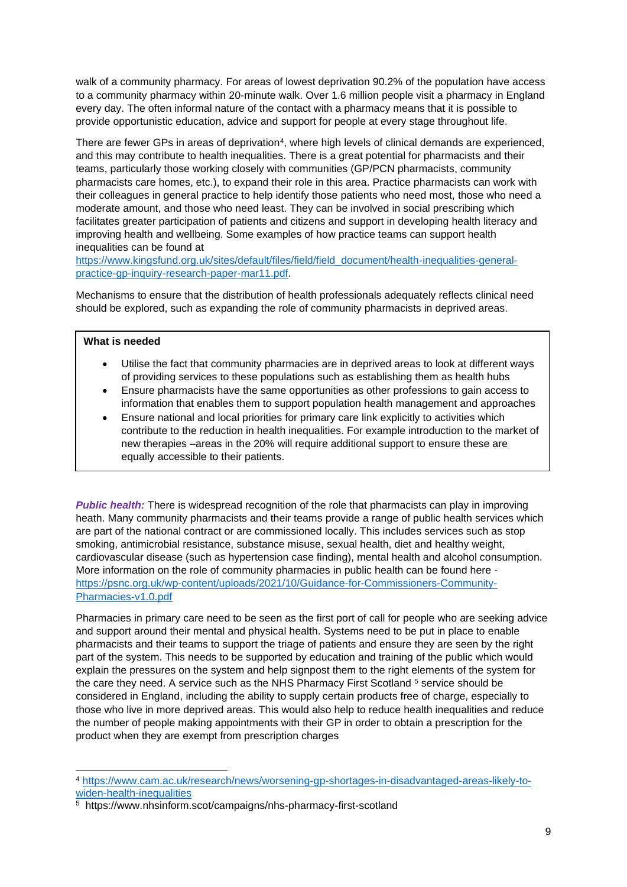walk of a community pharmacy. For areas of lowest deprivation 90.2% of the population have access to a community pharmacy within 20-minute walk. Over 1.6 million people visit a pharmacy in England every day. The often informal nature of the contact with a pharmacy means that it is possible to provide opportunistic education, advice and support for people at every stage throughout life.

There are fewer GPs in areas of deprivation<sup>4</sup>, where high levels of clinical demands are experienced, and this may contribute to health inequalities. There is a great potential for pharmacists and their teams, particularly those working closely with communities (GP/PCN pharmacists, community pharmacists care homes, etc.), to expand their role in this area. Practice pharmacists can work with their colleagues in general practice to help identify those patients who need most, those who need a moderate amount, and those who need least. They can be involved in social prescribing which facilitates greater participation of patients and citizens and support in developing health literacy and improving health and wellbeing. Some examples of how practice teams can support health inequalities can be found at

[https://www.kingsfund.org.uk/sites/default/files/field/field\\_document/health-inequalities-general](https://www.kingsfund.org.uk/sites/default/files/field/field_document/health-inequalities-general-practice-gp-inquiry-research-paper-mar11.pdf)[practice-gp-inquiry-research-paper-mar11.pdf.](https://www.kingsfund.org.uk/sites/default/files/field/field_document/health-inequalities-general-practice-gp-inquiry-research-paper-mar11.pdf)

Mechanisms to ensure that the distribution of health professionals adequately reflects clinical need should be explored, such as expanding the role of community pharmacists in deprived areas.

### **What is needed**

- Utilise the fact that community pharmacies are in deprived areas to look at different ways of providing services to these populations such as establishing them as health hubs
- Ensure pharmacists have the same opportunities as other professions to gain access to information that enables them to support population health management and approaches
- Ensure national and local priorities for primary care link explicitly to activities which contribute to the reduction in health inequalities. For example introduction to the market of new therapies –areas in the 20% will require additional support to ensure these are equally accessible to their patients.

*Public health:* There is widespread recognition of the role that pharmacists can play in improving heath. Many community pharmacists and their teams provide a range of public health services which are part of the national contract or are commissioned locally. This includes services such as stop smoking, antimicrobial resistance, substance misuse, sexual health, diet and healthy weight, cardiovascular disease (such as hypertension case finding), mental health and alcohol consumption. More information on the role of community pharmacies in public health can be found here [https://psnc.org.uk/wp-content/uploads/2021/10/Guidance-for-Commissioners-Community-](https://psnc.org.uk/wp-content/uploads/2021/10/Guidance-for-Commissioners-Community-Pharmacies-v1.0.pdf)[Pharmacies-v1.0.pdf](https://psnc.org.uk/wp-content/uploads/2021/10/Guidance-for-Commissioners-Community-Pharmacies-v1.0.pdf)

Pharmacies in primary care need to be seen as the first port of call for people who are seeking advice and support around their mental and physical health. Systems need to be put in place to enable pharmacists and their teams to support the triage of patients and ensure they are seen by the right part of the system. This needs to be supported by education and training of the public which would explain the pressures on the system and help signpost them to the right elements of the system for the care they need. A service such as the NHS Pharmacy First Scotland <sup>5</sup> service should be considered in England, including the ability to supply certain products free of charge, especially to those who live in more deprived areas. This would also help to reduce health inequalities and reduce the number of people making appointments with their GP in order to obtain a prescription for the product when they are exempt from prescription charges

<sup>4</sup> [https://www.cam.ac.uk/research/news/worsening-gp-shortages-in-disadvantaged-areas-likely-to](https://www.cam.ac.uk/research/news/worsening-gp-shortages-in-disadvantaged-areas-likely-to-widen-health-inequalities)[widen-health-inequalities](https://www.cam.ac.uk/research/news/worsening-gp-shortages-in-disadvantaged-areas-likely-to-widen-health-inequalities)

<sup>5</sup> https://www.nhsinform.scot/campaigns/nhs-pharmacy-first-scotland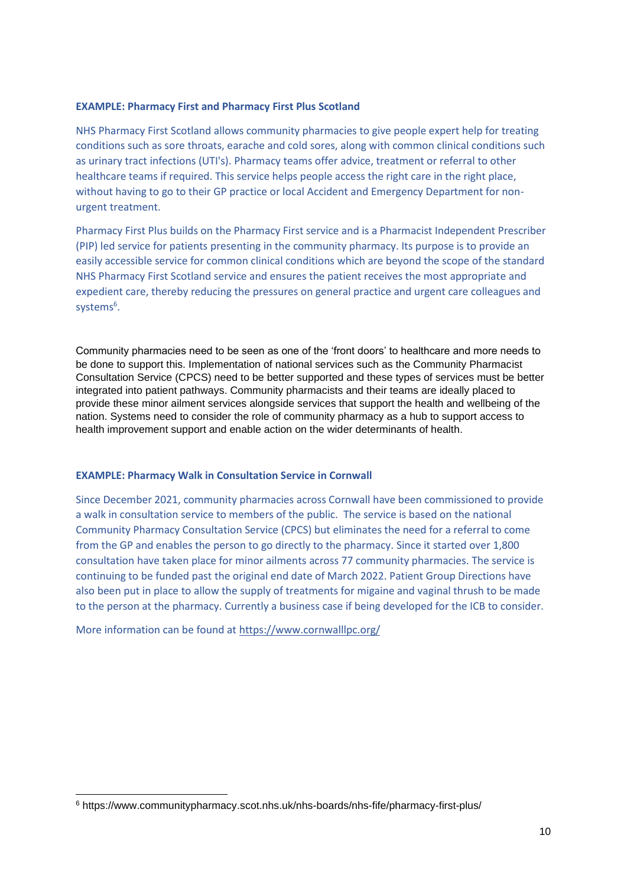#### **EXAMPLE: Pharmacy First and Pharmacy First Plus Scotland**

NHS Pharmacy First Scotland allows community pharmacies to give people expert help for treating conditions such as sore throats, earache and cold sores, along with common clinical conditions such as urinary tract infections (UTI's). Pharmacy teams offer advice, treatment or referral to other healthcare teams if required. This service helps people access the right care in the right place, without having to go to their GP practice or local Accident and Emergency Department for nonurgent treatment.

Pharmacy First Plus builds on the Pharmacy First service and is a Pharmacist Independent Prescriber (PIP) led service for patients presenting in the community pharmacy. Its purpose is to provide an easily accessible service for common clinical conditions which are beyond the scope of the standard NHS Pharmacy First Scotland service and ensures the patient receives the most appropriate and expedient care, thereby reducing the pressures on general practice and urgent care colleagues and systems<sup>6</sup>.

Community pharmacies need to be seen as one of the 'front doors' to healthcare and more needs to be done to support this. Implementation of national services such as the Community Pharmacist Consultation Service (CPCS) need to be better supported and these types of services must be better integrated into patient pathways. Community pharmacists and their teams are ideally placed to provide these minor ailment services alongside services that support the health and wellbeing of the nation. Systems need to consider the role of community pharmacy as a hub to support access to health improvement support and enable action on the wider determinants of health.

#### **EXAMPLE: Pharmacy Walk in Consultation Service in Cornwall**

Since December 2021, community pharmacies across Cornwall have been commissioned to provide a walk in consultation service to members of the public. The service is based on the national Community Pharmacy Consultation Service (CPCS) but eliminates the need for a referral to come from the GP and enables the person to go directly to the pharmacy. Since it started over 1,800 consultation have taken place for minor ailments across 77 community pharmacies. The service is continuing to be funded past the original end date of March 2022. Patient Group Directions have also been put in place to allow the supply of treatments for migaine and vaginal thrush to be made to the person at the pharmacy. Currently a business case if being developed for the ICB to consider.

More information can be found at<https://www.cornwalllpc.org/>

<sup>6</sup> https://www.communitypharmacy.scot.nhs.uk/nhs-boards/nhs-fife/pharmacy-first-plus/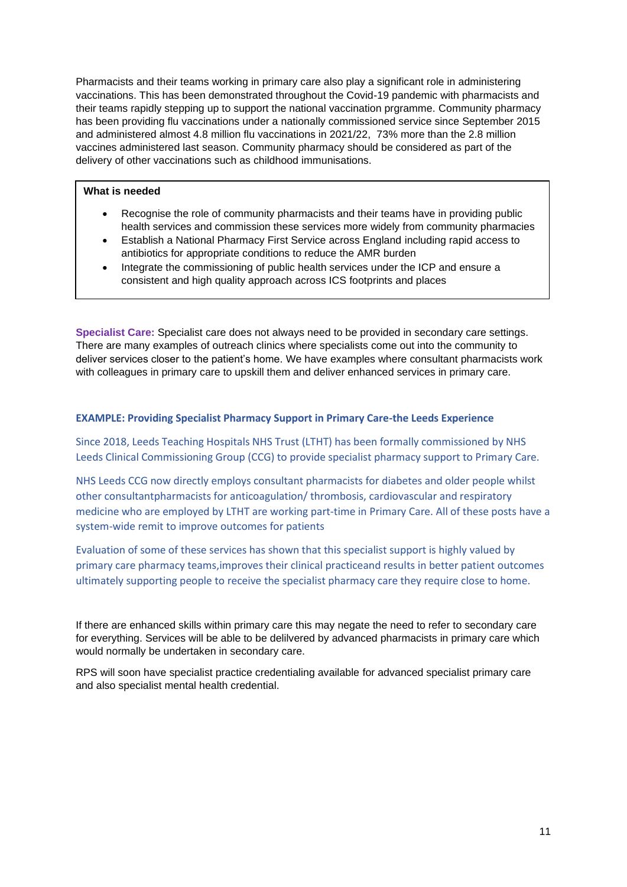Pharmacists and their teams working in primary care also play a significant role in administering vaccinations. This has been demonstrated throughout the Covid-19 pandemic with pharmacists and their teams rapidly stepping up to support the national vaccination prgramme. Community pharmacy has been providing flu vaccinations under a nationally commissioned service since September 2015 and administered almost 4.8 million flu vaccinations in 2021/22, 73% more than the 2.8 million vaccines administered last season. Community pharmacy should be considered as part of the delivery of other vaccinations such as childhood immunisations.

#### **What is needed**

- Recognise the role of community pharmacists and their teams have in providing public health services and commission these services more widely from community pharmacies
- Establish a National Pharmacy First Service across England including rapid access to antibiotics for appropriate conditions to reduce the AMR burden
- Integrate the commissioning of public health services under the ICP and ensure a consistent and high quality approach across ICS footprints and places

**Specialist Care:** Specialist care does not always need to be provided in secondary care settings. There are many examples of outreach clinics where specialists come out into the community to deliver services closer to the patient's home. We have examples where consultant pharmacists work with colleagues in primary care to upskill them and deliver enhanced services in primary care.

#### **EXAMPLE: Providing Specialist Pharmacy Support in Primary Care-the Leeds Experience**

Since 2018, Leeds Teaching Hospitals NHS Trust (LTHT) has been formally commissioned by NHS Leeds Clinical Commissioning Group (CCG) to provide specialist pharmacy support to Primary Care.

NHS Leeds CCG now directly employs consultant pharmacists for diabetes and older people whilst other consultantpharmacists for anticoagulation/ thrombosis, cardiovascular and respiratory medicine who are employed by LTHT are working part-time in Primary Care. All of these posts have a system-wide remit to improve outcomes for patients

Evaluation of some of these services has shown that this specialist support is highly valued by primary care pharmacy teams,improves their clinical practiceand results in better patient outcomes ultimately supporting people to receive the specialist pharmacy care they require close to home.

If there are enhanced skills within primary care this may negate the need to refer to secondary care for everything. Services will be able to be delilvered by advanced pharmacists in primary care which would normally be undertaken in secondary care.

RPS will soon have specialist practice credentialing available for advanced specialist primary care and also specialist mental health credential.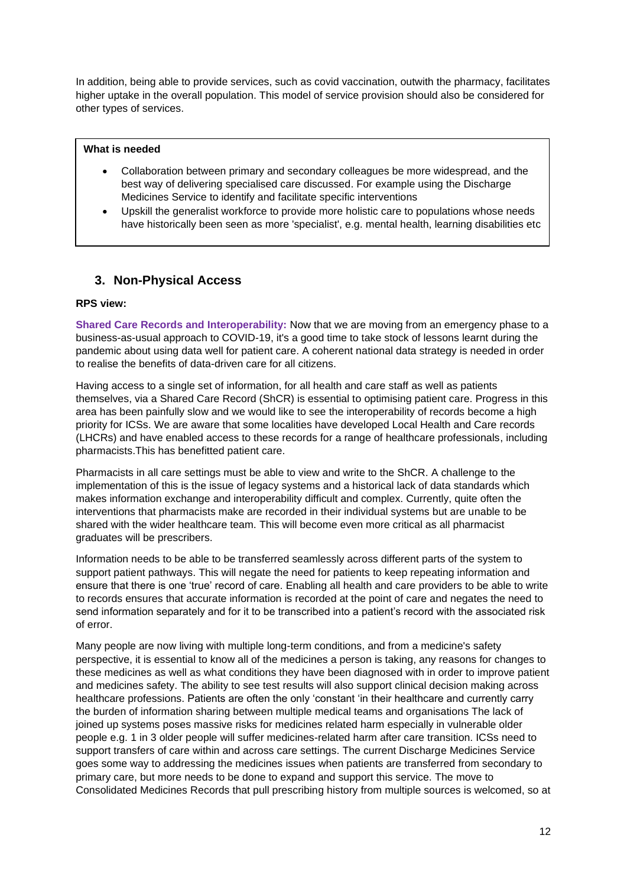In addition, being able to provide services, such as covid vaccination, outwith the pharmacy, facilitates higher uptake in the overall population. This model of service provision should also be considered for other types of services.

#### **What is needed**

- Collaboration between primary and secondary colleagues be more widespread, and the best way of delivering specialised care discussed. For example using the Discharge Medicines Service to identify and facilitate specific interventions
- Upskill the generalist workforce to provide more holistic care to populations whose needs have historically been seen as more 'specialist', e.g. mental health, learning disabilities etc

### **3. Non-Physical Access**

#### **RPS view:**

**Shared Care Records and Interoperability:** Now that we are moving from an emergency phase to a business-as-usual approach to COVID-19, it's a good time to take stock of lessons learnt during the pandemic about using data well for patient care. A coherent national data strategy is needed in order to realise the benefits of data-driven care for all citizens.

Having access to a single set of information, for all health and care staff as well as patients themselves, via a Shared Care Record (ShCR) is essential to optimising patient care. Progress in this area has been painfully slow and we would like to see the interoperability of records become a high priority for ICSs. We are aware that some localities have developed Local Health and Care records (LHCRs) and have enabled access to these records for a range of healthcare professionals, including pharmacists.This has benefitted patient care.

Pharmacists in all care settings must be able to view and write to the ShCR. A challenge to the implementation of this is the issue of legacy systems and a historical lack of data standards which makes information exchange and interoperability difficult and complex. Currently, quite often the interventions that pharmacists make are recorded in their individual systems but are unable to be shared with the wider healthcare team. This will become even more critical as all pharmacist graduates will be prescribers.

Information needs to be able to be transferred seamlessly across different parts of the system to support patient pathways. This will negate the need for patients to keep repeating information and ensure that there is one 'true' record of care. Enabling all health and care providers to be able to write to records ensures that accurate information is recorded at the point of care and negates the need to send information separately and for it to be transcribed into a patient's record with the associated risk of error.

Many people are now living with multiple long-term conditions, and from a medicine's safety perspective, it is essential to know all of the medicines a person is taking, any reasons for changes to these medicines as well as what conditions they have been diagnosed with in order to improve patient and medicines safety. The ability to see test results will also support clinical decision making across healthcare professions. Patients are often the only 'constant 'in their healthcare and currently carry the burden of information sharing between multiple medical teams and organisations The lack of joined up systems poses massive risks for medicines related harm especially in vulnerable older people e.g. 1 in 3 older people will suffer medicines-related harm after care transition. ICSs need to support transfers of care within and across care settings. The current Discharge Medicines Service goes some way to addressing the medicines issues when patients are transferred from secondary to primary care, but more needs to be done to expand and support this service. The move to Consolidated Medicines Records that pull prescribing history from multiple sources is welcomed, so at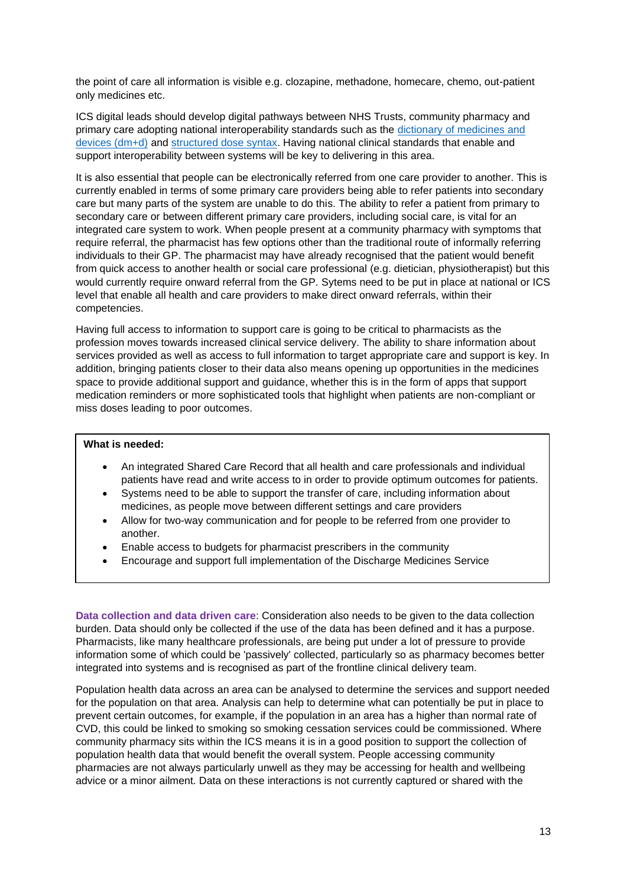the point of care all information is visible e.g. clozapine, methadone, homecare, chemo, out-patient only medicines etc.

ICS digital leads should develop digital pathways between NHS Trusts, community pharmacy and primary care adopting national interoperability standards such as the [dictionary of medicines and](https://www.nhsbsa.nhs.uk/pharmacies-gp-practices-and-appliance-contractors/dictionary-medicines-and-devices-dmd)  [devices \(dm+d\)](https://www.nhsbsa.nhs.uk/pharmacies-gp-practices-and-appliance-contractors/dictionary-medicines-and-devices-dmd) and [structured dose syntax.](https://digital.nhs.uk/developer/api-catalogue/dose-syntax-standards) Having national clinical standards that enable and support interoperability between systems will be key to delivering in this area.

It is also essential that people can be electronically referred from one care provider to another. This is currently enabled in terms of some primary care providers being able to refer patients into secondary care but many parts of the system are unable to do this. The ability to refer a patient from primary to secondary care or between different primary care providers, including social care, is vital for an integrated care system to work. When people present at a community pharmacy with symptoms that require referral, the pharmacist has few options other than the traditional route of informally referring individuals to their GP. The pharmacist may have already recognised that the patient would benefit from quick access to another health or social care professional (e.g. dietician, physiotherapist) but this would currently require onward referral from the GP. Sytems need to be put in place at national or ICS level that enable all health and care providers to make direct onward referrals, within their competencies.

Having full access to information to support care is going to be critical to pharmacists as the profession moves towards increased clinical service delivery. The ability to share information about services provided as well as access to full information to target appropriate care and support is key. In addition, bringing patients closer to their data also means opening up opportunities in the medicines space to provide additional support and guidance, whether this is in the form of apps that support medication reminders or more sophisticated tools that highlight when patients are non-compliant or miss doses leading to poor outcomes.

#### **What is needed:**

- An integrated Shared Care Record that all health and care professionals and individual patients have read and write access to in order to provide optimum outcomes for patients.
- Systems need to be able to support the transfer of care, including information about medicines, as people move between different settings and care providers
- Allow for two-way communication and for people to be referred from one provider to another.
- Enable access to budgets for pharmacist prescribers in the community
- Encourage and support full implementation of the Discharge Medicines Service

**Data collection and data driven care**: Consideration also needs to be given to the data collection burden. Data should only be collected if the use of the data has been defined and it has a purpose. Pharmacists, like many healthcare professionals, are being put under a lot of pressure to provide information some of which could be 'passively' collected, particularly so as pharmacy becomes better integrated into systems and is recognised as part of the frontline clinical delivery team.

Population health data across an area can be analysed to determine the services and support needed for the population on that area. Analysis can help to determine what can potentially be put in place to prevent certain outcomes, for example, if the population in an area has a higher than normal rate of CVD, this could be linked to smoking so smoking cessation services could be commissioned. Where community pharmacy sits within the ICS means it is in a good position to support the collection of population health data that would benefit the overall system. People accessing community pharmacies are not always particularly unwell as they may be accessing for health and wellbeing advice or a minor ailment. Data on these interactions is not currently captured or shared with the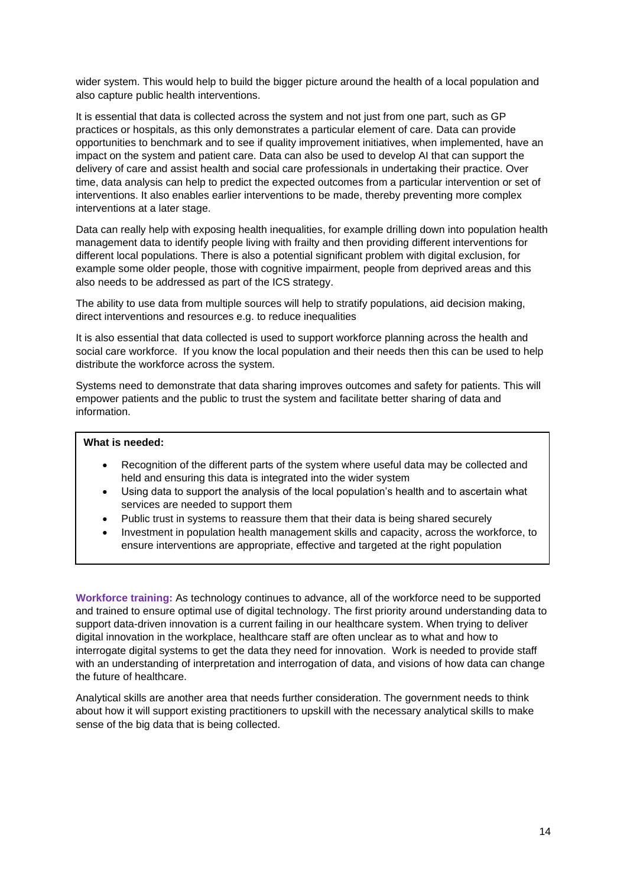wider system. This would help to build the bigger picture around the health of a local population and also capture public health interventions.

It is essential that data is collected across the system and not just from one part, such as GP practices or hospitals, as this only demonstrates a particular element of care. Data can provide opportunities to benchmark and to see if quality improvement initiatives, when implemented, have an impact on the system and patient care. Data can also be used to develop AI that can support the delivery of care and assist health and social care professionals in undertaking their practice. Over time, data analysis can help to predict the expected outcomes from a particular intervention or set of interventions. It also enables earlier interventions to be made, thereby preventing more complex interventions at a later stage.

Data can really help with exposing health inequalities, for example drilling down into population health management data to identify people living with frailty and then providing different interventions for different local populations. There is also a potential significant problem with digital exclusion, for example some older people, those with cognitive impairment, people from deprived areas and this also needs to be addressed as part of the ICS strategy.

The ability to use data from multiple sources will help to stratify populations, aid decision making, direct interventions and resources e.g. to reduce inequalities

It is also essential that data collected is used to support workforce planning across the health and social care workforce. If you know the local population and their needs then this can be used to help distribute the workforce across the system.

Systems need to demonstrate that data sharing improves outcomes and safety for patients. This will empower patients and the public to trust the system and facilitate better sharing of data and information.

#### **What is needed:**

- Recognition of the different parts of the system where useful data may be collected and held and ensuring this data is integrated into the wider system
- Using data to support the analysis of the local population's health and to ascertain what services are needed to support them
- Public trust in systems to reassure them that their data is being shared securely
- Investment in population health management skills and capacity, across the workforce, to ensure interventions are appropriate, effective and targeted at the right population

**Workforce training:** As technology continues to advance, all of the workforce need to be supported and trained to ensure optimal use of digital technology. The first priority around understanding data to support data-driven innovation is a current failing in our healthcare system. When trying to deliver digital innovation in the workplace, healthcare staff are often unclear as to what and how to interrogate digital systems to get the data they need for innovation. Work is needed to provide staff with an understanding of interpretation and interrogation of data, and visions of how data can change the future of healthcare.

Analytical skills are another area that needs further consideration. The government needs to think about how it will support existing practitioners to upskill with the necessary analytical skills to make sense of the big data that is being collected.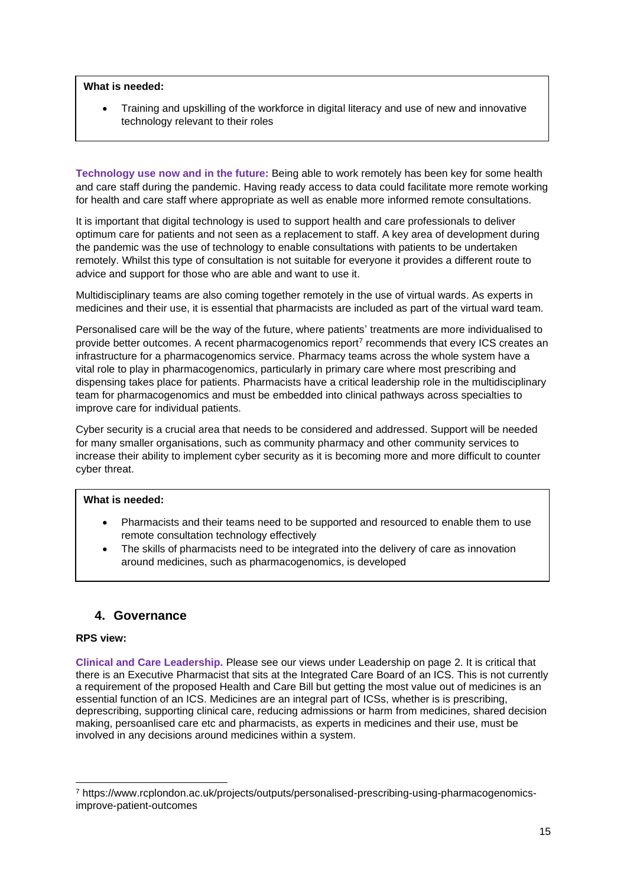**What is needed:**

• Training and upskilling of the workforce in digital literacy and use of new and innovative technology relevant to their roles

**Technology use now and in the future:** Being able to work remotely has been key for some health and care staff during the pandemic. Having ready access to data could facilitate more remote working for health and care staff where appropriate as well as enable more informed remote consultations.

It is important that digital technology is used to support health and care professionals to deliver optimum care for patients and not seen as a replacement to staff. A key area of development during the pandemic was the use of technology to enable consultations with patients to be undertaken remotely. Whilst this type of consultation is not suitable for everyone it provides a different route to advice and support for those who are able and want to use it.

Multidisciplinary teams are also coming together remotely in the use of virtual wards. As experts in medicines and their use, it is essential that pharmacists are included as part of the virtual ward team.

Personalised care will be the way of the future, where patients' treatments are more individualised to provide better outcomes. A recent pharmacogenomics report<sup>7</sup> recommends that every ICS creates an infrastructure for a pharmacogenomics service. Pharmacy teams across the whole system have a vital role to play in pharmacogenomics, particularly in primary care where most prescribing and dispensing takes place for patients. Pharmacists have a critical leadership role in the multidisciplinary team for pharmacogenomics and must be embedded into clinical pathways across specialties to improve care for individual patients.

Cyber security is a crucial area that needs to be considered and addressed. Support will be needed for many smaller organisations, such as community pharmacy and other community services to increase their ability to implement cyber security as it is becoming more and more difficult to counter cyber threat.

#### **What is needed:**

- Pharmacists and their teams need to be supported and resourced to enable them to use remote consultation technology effectively
- The skills of pharmacists need to be integrated into the delivery of care as innovation around medicines, such as pharmacogenomics, is developed

### **4. Governance**

#### **RPS view:**

**Clinical and Care Leadership.** Please see our views under Leadership on page 2. It is critical that there is an Executive Pharmacist that sits at the Integrated Care Board of an ICS. This is not currently a requirement of the proposed Health and Care Bill but getting the most value out of medicines is an essential function of an ICS. Medicines are an integral part of ICSs, whether is is prescribing, deprescribing, supporting clinical care, reducing admissions or harm from medicines, shared decision making, persoanlised care etc and pharmacists, as experts in medicines and their use, must be involved in any decisions around medicines within a system.

<sup>7</sup> https://www.rcplondon.ac.uk/projects/outputs/personalised-prescribing-using-pharmacogenomicsimprove-patient-outcomes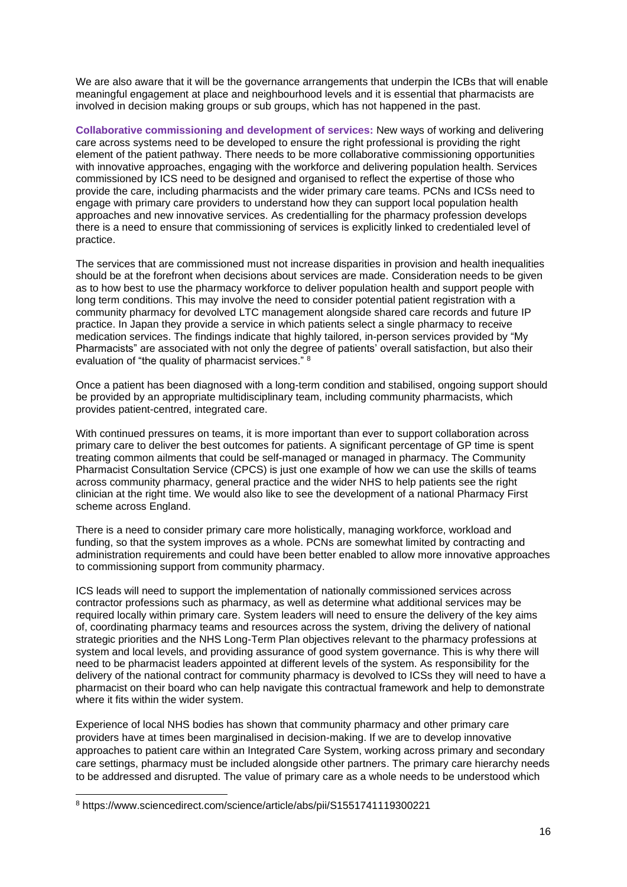We are also aware that it will be the governance arrangements that underpin the ICBs that will enable meaningful engagement at place and neighbourhood levels and it is essential that pharmacists are involved in decision making groups or sub groups, which has not happened in the past.

**Collaborative commissioning and development of services:** New ways of working and delivering care across systems need to be developed to ensure the right professional is providing the right element of the patient pathway. There needs to be more collaborative commissioning opportunities with innovative approaches, engaging with the workforce and delivering population health. Services commissioned by ICS need to be designed and organised to reflect the expertise of those who provide the care, including pharmacists and the wider primary care teams. PCNs and ICSs need to engage with primary care providers to understand how they can support local population health approaches and new innovative services. As credentialling for the pharmacy profession develops there is a need to ensure that commissioning of services is explicitly linked to credentialed level of practice.

The services that are commissioned must not increase disparities in provision and health inequalities should be at the forefront when decisions about services are made. Consideration needs to be given as to how best to use the pharmacy workforce to deliver population health and support people with long term conditions. This may involve the need to consider potential patient registration with a community pharmacy for devolved LTC management alongside shared care records and future IP practice. In Japan they provide a service in which patients select a single pharmacy to receive medication services. The findings indicate that highly tailored, in-person services provided by "My Pharmacists" are associated with not only the degree of patients' overall satisfaction, but also their evaluation of "the quality of pharmacist services." <sup>8</sup>

Once a patient has been diagnosed with a long-term condition and stabilised, ongoing support should be provided by an appropriate multidisciplinary team, including community pharmacists, which provides patient-centred, integrated care.

With continued pressures on teams, it is more important than ever to support collaboration across primary care to deliver the best outcomes for patients. A significant percentage of GP time is spent treating common ailments that could be self-managed or managed in pharmacy. The Community Pharmacist Consultation Service (CPCS) is just one example of how we can use the skills of teams across community pharmacy, general practice and the wider NHS to help patients see the right clinician at the right time. We would also like to see the development of a national Pharmacy First scheme across England.

There is a need to consider primary care more holistically, managing workforce, workload and funding, so that the system improves as a whole. PCNs are somewhat limited by contracting and administration requirements and could have been better enabled to allow more innovative approaches to commissioning support from community pharmacy.

ICS leads will need to support the implementation of nationally commissioned services across contractor professions such as pharmacy, as well as determine what additional services may be required locally within primary care. System leaders will need to ensure the delivery of the key aims of, coordinating pharmacy teams and resources across the system, driving the delivery of national strategic priorities and the NHS Long-Term Plan objectives relevant to the pharmacy professions at system and local levels, and providing assurance of good system governance. This is why there will need to be pharmacist leaders appointed at different levels of the system. As responsibility for the delivery of the national contract for community pharmacy is devolved to ICSs they will need to have a pharmacist on their board who can help navigate this contractual framework and help to demonstrate where it fits within the wider system.

Experience of local NHS bodies has shown that community pharmacy and other primary care providers have at times been marginalised in decision-making. If we are to develop innovative approaches to patient care within an Integrated Care System, working across primary and secondary care settings, pharmacy must be included alongside other partners. The primary care hierarchy needs to be addressed and disrupted. The value of primary care as a whole needs to be understood which

<sup>8</sup> https://www.sciencedirect.com/science/article/abs/pii/S1551741119300221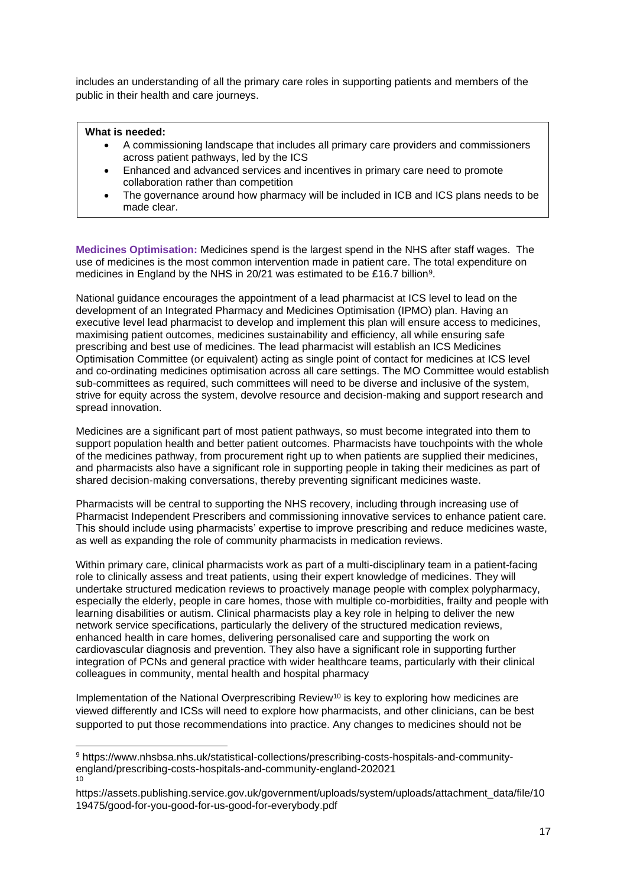includes an understanding of all the primary care roles in supporting patients and members of the public in their health and care journeys.

#### **What is needed:**

- A commissioning landscape that includes all primary care providers and commissioners across patient pathways, led by the ICS
- Enhanced and advanced services and incentives in primary care need to promote collaboration rather than competition
- The governance around how pharmacy will be included in ICB and ICS plans needs to be made clear.

**Medicines Optimisation:** Medicines spend is the largest spend in the NHS after staff wages. The use of medicines is the most common intervention made in patient care. The total expenditure on medicines in England by the NHS in 20/21 was estimated to be £16.7 billion<sup>9</sup>.

National guidance encourages the appointment of a lead pharmacist at ICS level to lead on the development of an Integrated Pharmacy and Medicines Optimisation (IPMO) plan. Having an executive level lead pharmacist to develop and implement this plan will ensure access to medicines, maximising patient outcomes, medicines sustainability and efficiency, all while ensuring safe prescribing and best use of medicines. The lead pharmacist will establish an ICS Medicines Optimisation Committee (or equivalent) acting as single point of contact for medicines at ICS level and co-ordinating medicines optimisation across all care settings. The MO Committee would establish sub-committees as required, such committees will need to be diverse and inclusive of the system, strive for equity across the system, devolve resource and decision-making and support research and spread innovation.

Medicines are a significant part of most patient pathways, so must become integrated into them to support population health and better patient outcomes. Pharmacists have touchpoints with the whole of the medicines pathway, from procurement right up to when patients are supplied their medicines, and pharmacists also have a significant role in supporting people in taking their medicines as part of shared decision-making conversations, thereby preventing significant medicines waste.

Pharmacists will be central to supporting the NHS recovery, including through increasing use of Pharmacist Independent Prescribers and commissioning innovative services to enhance patient care. This should include using pharmacists' expertise to improve prescribing and reduce medicines waste, as well as expanding the role of community pharmacists in medication reviews.

Within primary care, clinical pharmacists work as part of a multi-disciplinary team in a patient-facing role to clinically assess and treat patients, using their expert knowledge of medicines. They will undertake structured medication reviews to proactively manage people with complex polypharmacy, especially the elderly, people in care homes, those with multiple co-morbidities, frailty and people with learning disabilities or autism. Clinical pharmacists play a key role in helping to deliver the new network service specifications, particularly the delivery of the structured medication reviews, enhanced health in care homes, delivering personalised care and supporting the work on cardiovascular diagnosis and prevention. They also have a significant role in supporting further integration of PCNs and general practice with wider healthcare teams, particularly with their clinical colleagues in community, mental health and hospital pharmacy

Implementation of the National Overprescribing Review<sup>10</sup> is key to exploring how medicines are viewed differently and ICSs will need to explore how pharmacists, and other clinicians, can be best supported to put those recommendations into practice. Any changes to medicines should not be

<sup>9</sup> https://www.nhsbsa.nhs.uk/statistical-collections/prescribing-costs-hospitals-and-communityengland/prescribing-costs-hospitals-and-community-england-202021 10

https://assets.publishing.service.gov.uk/government/uploads/system/uploads/attachment\_data/file/10 19475/good-for-you-good-for-us-good-for-everybody.pdf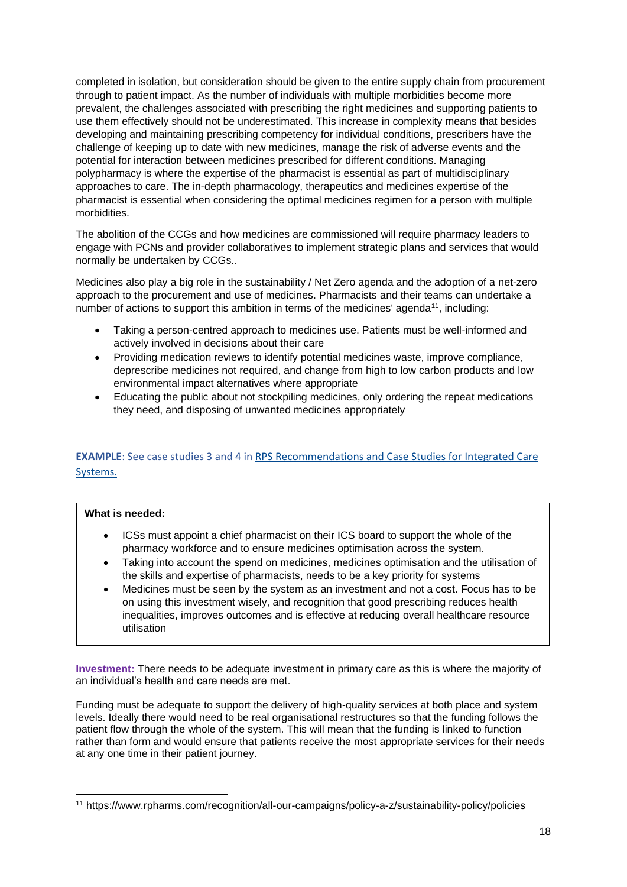completed in isolation, but consideration should be given to the entire supply chain from procurement through to patient impact. As the number of individuals with multiple morbidities become more prevalent, the challenges associated with prescribing the right medicines and supporting patients to use them effectively should not be underestimated. This increase in complexity means that besides developing and maintaining prescribing competency for individual conditions, prescribers have the challenge of keeping up to date with new medicines, manage the risk of adverse events and the potential for interaction between medicines prescribed for different conditions. Managing polypharmacy is where the expertise of the pharmacist is essential as part of multidisciplinary approaches to care. The in-depth pharmacology, therapeutics and medicines expertise of the pharmacist is essential when considering the optimal medicines regimen for a person with multiple morbidities.

The abolition of the CCGs and how medicines are commissioned will require pharmacy leaders to engage with PCNs and provider collaboratives to implement strategic plans and services that would normally be undertaken by CCGs..

Medicines also play a big role in the sustainability / Net Zero agenda and the adoption of a net-zero approach to the procurement and use of medicines. Pharmacists and their teams can undertake a number of actions to support this ambition in terms of the medicines' agenda<sup>11</sup>, including:

- Taking a person-centred approach to medicines use. Patients must be well-informed and actively involved in decisions about their care
- Providing medication reviews to identify potential medicines waste, improve compliance, deprescribe medicines not required, and change from high to low carbon products and low environmental impact alternatives where appropriate
- Educating the public about not stockpiling medicines, only ordering the repeat medications they need, and disposing of unwanted medicines appropriately

### **EXAMPLE**: See case studies 3 and 4 in [RPS Recommendations and Case Studies for Integrated Care](https://www.rpharms.com/england/nhs-transformation/ics-recommendations)  [Systems.](https://www.rpharms.com/england/nhs-transformation/ics-recommendations)

#### **What is needed:**

- ICSs must appoint a chief pharmacist on their ICS board to support the whole of the pharmacy workforce and to ensure medicines optimisation across the system.
- Taking into account the spend on medicines, medicines optimisation and the utilisation of the skills and expertise of pharmacists, needs to be a key priority for systems
- Medicines must be seen by the system as an investment and not a cost. Focus has to be on using this investment wisely, and recognition that good prescribing reduces health inequalities, improves outcomes and is effective at reducing overall healthcare resource utilisation

**Investment:** There needs to be adequate investment in primary care as this is where the majority of an individual's health and care needs are met.

Funding must be adequate to support the delivery of high-quality services at both place and system levels. Ideally there would need to be real organisational restructures so that the funding follows the patient flow through the whole of the system. This will mean that the funding is linked to function rather than form and would ensure that patients receive the most appropriate services for their needs at any one time in their patient journey.

<sup>11</sup> https://www.rpharms.com/recognition/all-our-campaigns/policy-a-z/sustainability-policy/policies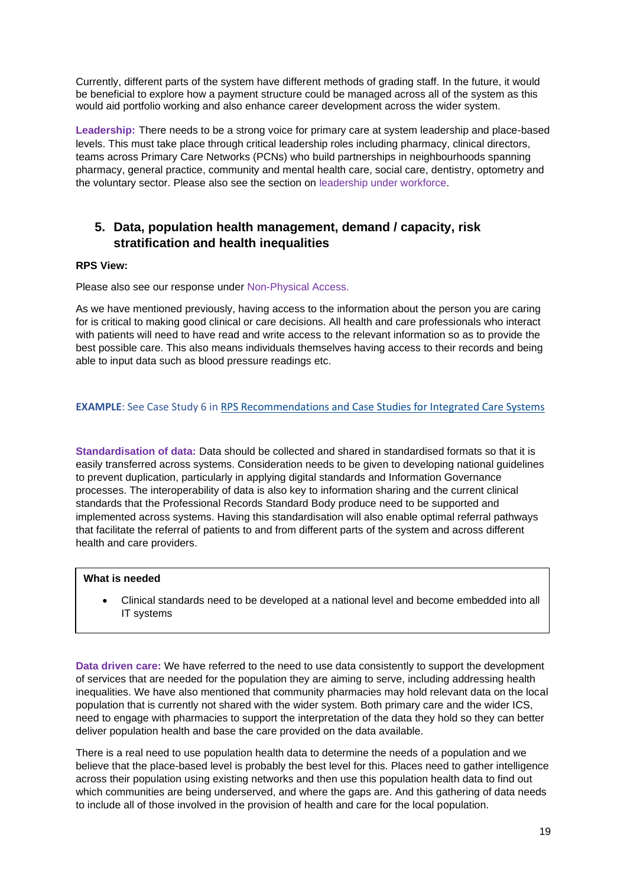Currently, different parts of the system have different methods of grading staff. In the future, it would be beneficial to explore how a payment structure could be managed across all of the system as this would aid portfolio working and also enhance career development across the wider system.

**Leadership:** There needs to be a strong voice for primary care at system leadership and place-based levels. This must take place through critical leadership roles including pharmacy, clinical directors, teams across Primary Care Networks (PCNs) who build partnerships in neighbourhoods spanning pharmacy, general practice, community and mental health care, social care, dentistry, optometry and the voluntary sector. Please also see the section on leadership under workforce.

## **5. Data, population health management, demand / capacity, risk stratification and health inequalities**

#### **RPS View:**

Please also see our response under Non-Physical Access.

As we have mentioned previously, having access to the information about the person you are caring for is critical to making good clinical or care decisions. All health and care professionals who interact with patients will need to have read and write access to the relevant information so as to provide the best possible care. This also means individuals themselves having access to their records and being able to input data such as blood pressure readings etc.

#### **EXAMPLE**: See Case Study 6 i[n RPS Recommendations and Case Studies for Integrated Care Systems](https://www.rpharms.com/england/nhs-transformation/ics-recommendations)

**Standardisation of data:** Data should be collected and shared in standardised formats so that it is easily transferred across systems. Consideration needs to be given to developing national guidelines to prevent duplication, particularly in applying digital standards and Information Governance processes. The interoperability of data is also key to information sharing and the current clinical standards that the Professional Records Standard Body produce need to be supported and implemented across systems. Having this standardisation will also enable optimal referral pathways that facilitate the referral of patients to and from different parts of the system and across different health and care providers.

#### **What is needed**

• Clinical standards need to be developed at a national level and become embedded into all IT systems

**Data driven care:** We have referred to the need to use data consistently to support the development of services that are needed for the population they are aiming to serve, including addressing health inequalities. We have also mentioned that community pharmacies may hold relevant data on the local population that is currently not shared with the wider system. Both primary care and the wider ICS, need to engage with pharmacies to support the interpretation of the data they hold so they can better deliver population health and base the care provided on the data available.

There is a real need to use population health data to determine the needs of a population and we believe that the place-based level is probably the best level for this. Places need to gather intelligence across their population using existing networks and then use this population health data to find out which communities are being underserved, and where the gaps are. And this gathering of data needs to include all of those involved in the provision of health and care for the local population.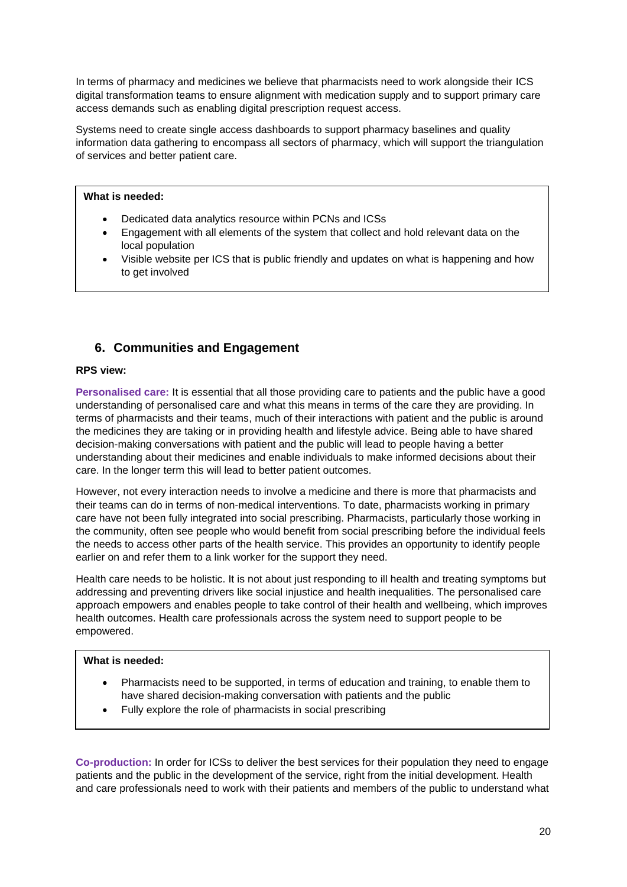In terms of pharmacy and medicines we believe that pharmacists need to work alongside their ICS digital transformation teams to ensure alignment with medication supply and to support primary care access demands such as enabling digital prescription request access.

Systems need to create single access dashboards to support pharmacy baselines and quality information data gathering to encompass all sectors of pharmacy, which will support the triangulation of services and better patient care.

#### **What is needed:**

- Dedicated data analytics resource within PCNs and ICSs
- Engagement with all elements of the system that collect and hold relevant data on the local population
- Visible website per ICS that is public friendly and updates on what is happening and how to get involved

## **6. Communities and Engagement**

#### **RPS view:**

**Personalised care:** It is essential that all those providing care to patients and the public have a good understanding of personalised care and what this means in terms of the care they are providing. In terms of pharmacists and their teams, much of their interactions with patient and the public is around the medicines they are taking or in providing health and lifestyle advice. Being able to have shared decision-making conversations with patient and the public will lead to people having a better understanding about their medicines and enable individuals to make informed decisions about their care. In the longer term this will lead to better patient outcomes.

However, not every interaction needs to involve a medicine and there is more that pharmacists and their teams can do in terms of non-medical interventions. To date, pharmacists working in primary care have not been fully integrated into social prescribing. Pharmacists, particularly those working in the community, often see people who would benefit from social prescribing before the individual feels the needs to access other parts of the health service. This provides an opportunity to identify people earlier on and refer them to a link worker for the support they need.

Health care needs to be holistic. It is not about just responding to ill health and treating symptoms but addressing and preventing drivers like social injustice and health inequalities. The personalised care approach empowers and enables people to take control of their health and wellbeing, which improves health outcomes. Health care professionals across the system need to support people to be empowered.

#### **What is needed:**

- Pharmacists need to be supported, in terms of education and training, to enable them to have shared decision-making conversation with patients and the public
- Fully explore the role of pharmacists in social prescribing

**Co-production:** In order for ICSs to deliver the best services for their population they need to engage patients and the public in the development of the service, right from the initial development. Health and care professionals need to work with their patients and members of the public to understand what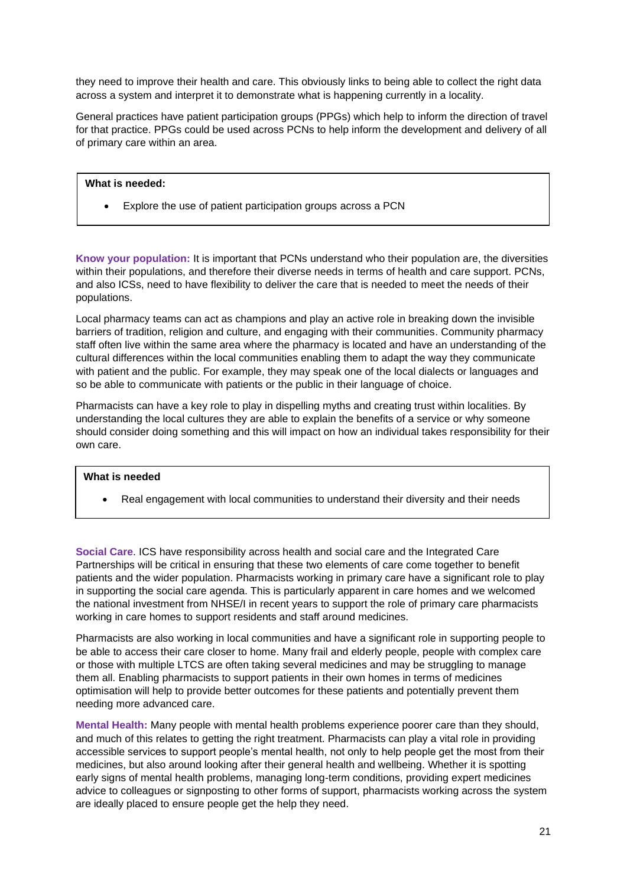they need to improve their health and care. This obviously links to being able to collect the right data across a system and interpret it to demonstrate what is happening currently in a locality.

General practices have patient participation groups (PPGs) which help to inform the direction of travel for that practice. PPGs could be used across PCNs to help inform the development and delivery of all of primary care within an area.

#### **What is needed:**

• Explore the use of patient participation groups across a PCN

**Know your population:** It is important that PCNs understand who their population are, the diversities within their populations, and therefore their diverse needs in terms of health and care support. PCNs, and also ICSs, need to have flexibility to deliver the care that is needed to meet the needs of their populations.

Local pharmacy teams can act as champions and play an active role in breaking down the invisible barriers of tradition, religion and culture, and engaging with their communities. Community pharmacy staff often live within the same area where the pharmacy is located and have an understanding of the cultural differences within the local communities enabling them to adapt the way they communicate with patient and the public. For example, they may speak one of the local dialects or languages and so be able to communicate with patients or the public in their language of choice.

Pharmacists can have a key role to play in dispelling myths and creating trust within localities. By understanding the local cultures they are able to explain the benefits of a service or why someone should consider doing something and this will impact on how an individual takes responsibility for their own care.

#### **What is needed**

• Real engagement with local communities to understand their diversity and their needs

**Social Care**. ICS have responsibility across health and social care and the Integrated Care Partnerships will be critical in ensuring that these two elements of care come together to benefit patients and the wider population. Pharmacists working in primary care have a significant role to play in supporting the social care agenda. This is particularly apparent in care homes and we welcomed the national investment from NHSE/I in recent years to support the role of primary care pharmacists working in care homes to support residents and staff around medicines.

Pharmacists are also working in local communities and have a significant role in supporting people to be able to access their care closer to home. Many frail and elderly people, people with complex care or those with multiple LTCS are often taking several medicines and may be struggling to manage them all. Enabling pharmacists to support patients in their own homes in terms of medicines optimisation will help to provide better outcomes for these patients and potentially prevent them needing more advanced care.

**Mental Health:** Many people with mental health problems experience poorer care than they should, and much of this relates to getting the right treatment. Pharmacists can play a vital role in providing accessible services to support people's mental health, not only to help people get the most from their medicines, but also around looking after their general health and wellbeing. Whether it is spotting early signs of mental health problems, managing long-term conditions, providing expert medicines advice to colleagues or signposting to other forms of support, pharmacists working across the system are ideally placed to ensure people get the help they need.